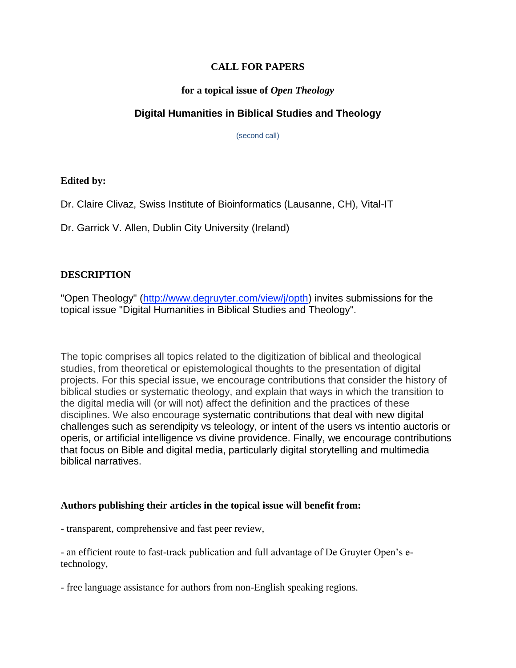#### **CALL FOR PAPERS**

#### **for a topical issue of** *Open Theology*

# **Digital Humanities in Biblical Studies and Theology**

(second call)

## **Edited by:**

Dr. Claire Clivaz, Swiss Institute of Bioinformatics (Lausanne, CH), Vital-IT

Dr. Garrick V. Allen, Dublin City University (Ireland)

## **DESCRIPTION**

"Open Theology" [\(http://www.degruyter.com/view/j/opth\)](http://www.degruyter.com/view/j/opth) invites submissions for the topical issue "Digital Humanities in Biblical Studies and Theology".

The topic comprises all topics related to the digitization of biblical and theological studies, from theoretical or epistemological thoughts to the presentation of digital projects. For this special issue, we encourage contributions that consider the history of biblical studies or systematic theology, and explain that ways in which the transition to the digital media will (or will not) affect the definition and the practices of these disciplines. We also encourage systematic contributions that deal with new digital challenges such as serendipity vs teleology, or intent of the users vs intentio auctoris or operis, or artificial intelligence vs divine providence. Finally, we encourage contributions that focus on Bible and digital media, particularly digital storytelling and multimedia biblical narratives.

#### **Authors publishing their articles in the topical issue will benefit from:**

- transparent, comprehensive and fast peer review,

- an efficient route to fast-track publication and full advantage of De Gruyter Open's etechnology,

- free language assistance for authors from non-English speaking regions.